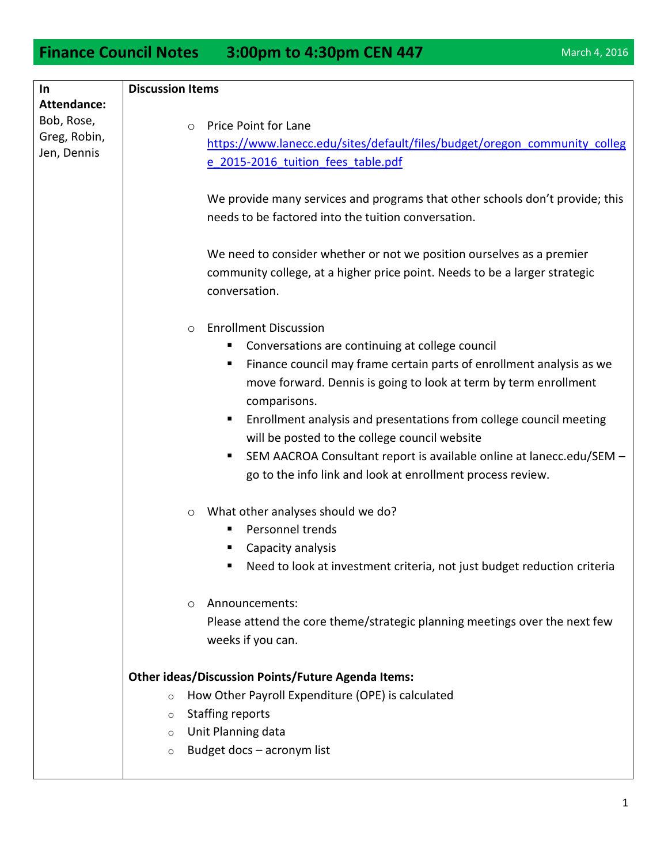**Finance Council Notes** 3:00pm to 4:30pm CEN 447 March 4, 2016

| In<br><b>Attendance:</b>                  | <b>Discussion Items</b>                                                      |
|-------------------------------------------|------------------------------------------------------------------------------|
|                                           |                                                                              |
| Bob, Rose,<br>Greg, Robin,<br>Jen, Dennis | Price Point for Lane<br>$\circ$                                              |
|                                           | https://www.lanecc.edu/sites/default/files/budget/oregon_community_colleg    |
|                                           | e 2015-2016 tuition fees table.pdf                                           |
|                                           |                                                                              |
|                                           | We provide many services and programs that other schools don't provide; this |
|                                           | needs to be factored into the tuition conversation.                          |
|                                           |                                                                              |
|                                           | We need to consider whether or not we position ourselves as a premier        |
|                                           | community college, at a higher price point. Needs to be a larger strategic   |
|                                           | conversation.                                                                |
|                                           |                                                                              |
|                                           | <b>Enrollment Discussion</b><br>$\circ$                                      |
|                                           | Conversations are continuing at college council<br>п                         |
|                                           | Finance council may frame certain parts of enrollment analysis as we<br>Е    |
|                                           | move forward. Dennis is going to look at term by term enrollment             |
|                                           | comparisons.                                                                 |
|                                           | Enrollment analysis and presentations from college council meeting<br>п      |
|                                           | will be posted to the college council website                                |
|                                           | SEM AACROA Consultant report is available online at lanecc.edu/SEM -<br>п    |
|                                           | go to the info link and look at enrollment process review.                   |
|                                           |                                                                              |
|                                           | What other analyses should we do?<br>$\circ$                                 |
|                                           | Personnel trends<br>п                                                        |
|                                           | Capacity analysis                                                            |
|                                           | Need to look at investment criteria, not just budget reduction criteria      |
|                                           |                                                                              |
|                                           | Announcements:<br>$\circ$                                                    |
|                                           | Please attend the core theme/strategic planning meetings over the next few   |
|                                           | weeks if you can.                                                            |
|                                           |                                                                              |
|                                           | <b>Other ideas/Discussion Points/Future Agenda Items:</b>                    |
|                                           | How Other Payroll Expenditure (OPE) is calculated<br>$\circ$                 |
|                                           | <b>Staffing reports</b><br>$\circ$                                           |
|                                           | Unit Planning data<br>$\circ$                                                |
|                                           | Budget docs - acronym list<br>$\circ$                                        |
|                                           |                                                                              |